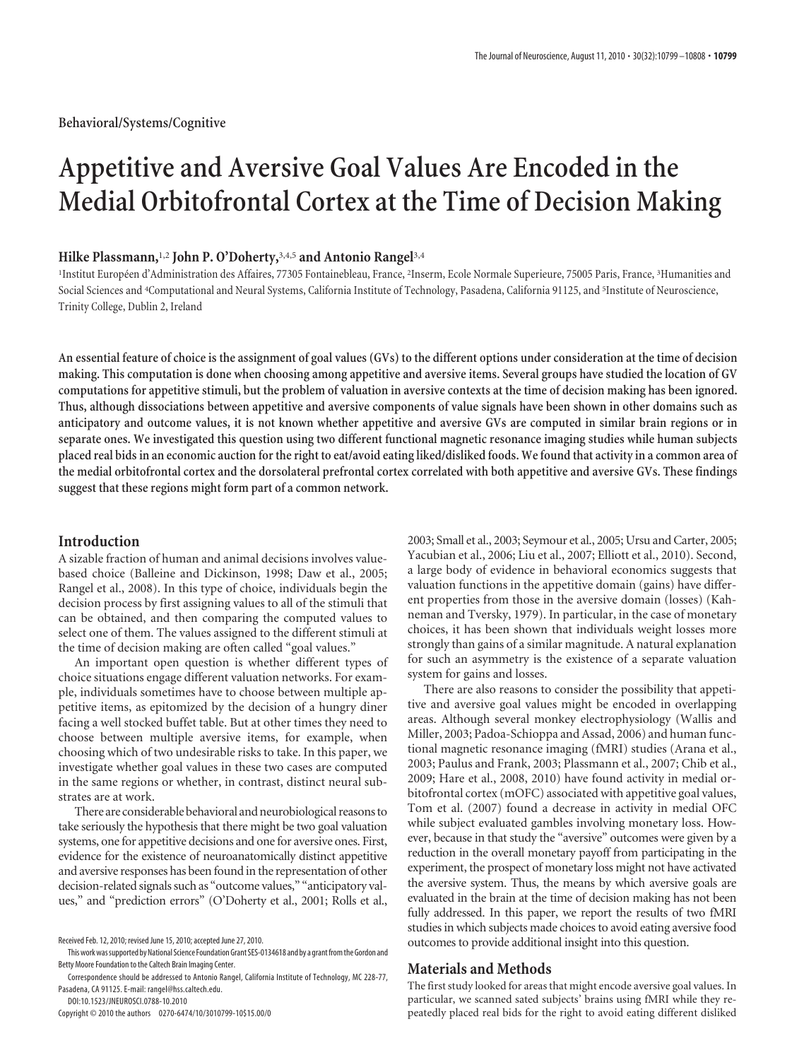# **Appetitive and Aversive Goal Values Are Encoded in the Medial Orbitofrontal Cortex at the Time of Decision Making**

# **Hilke Plassmann,**1,2 **John P. O'Doherty,**3,4,5 **and Antonio Rangel**3,4

<sup>1</sup>Institut Européen d'Administration des Affaires, 77305 Fontainebleau, France, <sup>2</sup>Inserm, Ecole Normale Superieure, 75005 Paris, France, <sup>3</sup>Humanities and Social Sciences and <sup>4</sup> Computational and Neural Systems, California Institute of Technology, Pasadena, California 91125, and <sup>5</sup> Institute of Neuroscience, Trinity College, Dublin 2, Ireland

**An essential feature of choice is the assignment of goal values (GVs) to the different options under consideration at the time of decision making. This computation is done when choosing among appetitive and aversive items. Several groups have studied the location of GV computations for appetitive stimuli, but the problem of valuation in aversive contexts at the time of decision making has been ignored. Thus, although dissociations between appetitive and aversive components of value signals have been shown in other domains such as anticipatory and outcome values, it is not known whether appetitive and aversive GVs are computed in similar brain regions or in separate ones. We investigated this question using two different functional magnetic resonance imaging studies while human subjects placed real bids in an economic auction for the right to eat/avoid eating liked/disliked foods. We found that activity in a common area of the medial orbitofrontal cortex and the dorsolateral prefrontal cortex correlated with both appetitive and aversive GVs. These findings suggest that these regions might form part of a common network.**

## **Introduction**

A sizable fraction of human and animal decisions involves valuebased choice (Balleine and Dickinson, 1998; Daw et al., 2005; Rangel et al., 2008). In this type of choice, individuals begin the decision process by first assigning values to all of the stimuli that can be obtained, and then comparing the computed values to select one of them. The values assigned to the different stimuli at the time of decision making are often called "goal values."

An important open question is whether different types of choice situations engage different valuation networks. For example, individuals sometimes have to choose between multiple appetitive items, as epitomized by the decision of a hungry diner facing a well stocked buffet table. But at other times they need to choose between multiple aversive items, for example, when choosing which of two undesirable risks to take. In this paper, we investigate whether goal values in these two cases are computed in the same regions or whether, in contrast, distinct neural substrates are at work.

There are considerable behavioral and neurobiological reasons to take seriously the hypothesis that there might be two goal valuation systems, one for appetitive decisions and one for aversive ones. First, evidence for the existence of neuroanatomically distinct appetitive and aversive responses has been found in the representation of other decision-related signals such as "outcome values," "anticipatory values," and "prediction errors" (O'Doherty et al., 2001; Rolls et al.,

DOI:10.1523/JNEUROSCI.0788-10.2010

Copyright © 2010 the authors 0270-6474/10/3010799-10\$15.00/0

2003; Small et al., 2003; Seymour et al., 2005; Ursu and Carter, 2005; Yacubian et al., 2006; Liu et al., 2007; Elliott et al., 2010). Second, a large body of evidence in behavioral economics suggests that valuation functions in the appetitive domain (gains) have different properties from those in the aversive domain (losses) (Kahneman and Tversky, 1979). In particular, in the case of monetary choices, it has been shown that individuals weight losses more strongly than gains of a similar magnitude. A natural explanation for such an asymmetry is the existence of a separate valuation system for gains and losses.

There are also reasons to consider the possibility that appetitive and aversive goal values might be encoded in overlapping areas. Although several monkey electrophysiology (Wallis and Miller, 2003; Padoa-Schioppa and Assad, 2006) and human functional magnetic resonance imaging (fMRI) studies (Arana et al., 2003; Paulus and Frank, 2003; Plassmann et al., 2007; Chib et al., 2009; Hare et al., 2008, 2010) have found activity in medial orbitofrontal cortex (mOFC) associated with appetitive goal values, Tom et al. (2007) found a decrease in activity in medial OFC while subject evaluated gambles involving monetary loss. However, because in that study the "aversive" outcomes were given by a reduction in the overall monetary payoff from participating in the experiment, the prospect of monetary loss might not have activated the aversive system. Thus, the means by which aversive goals are evaluated in the brain at the time of decision making has not been fully addressed. In this paper, we report the results of two fMRI studies in which subjects made choices to avoid eating aversive food outcomes to provide additional insight into this question.

# **Materials and Methods**

The first study looked for areas that might encode aversive goal values. In particular, we scanned sated subjects' brains using fMRI while they repeatedly placed real bids for the right to avoid eating different disliked

Received Feb. 12, 2010; revised June 15, 2010; accepted June 27, 2010.

This work was supported by National Science Foundation Grant SES-0134618 and by a grant from the Gordon and Betty Moore Foundation to the Caltech Brain Imaging Center.

Correspondence should be addressed to Antonio Rangel, California Institute of Technology, MC 228-77, Pasadena, CA 91125. E-mail: rangel@hss.caltech.edu.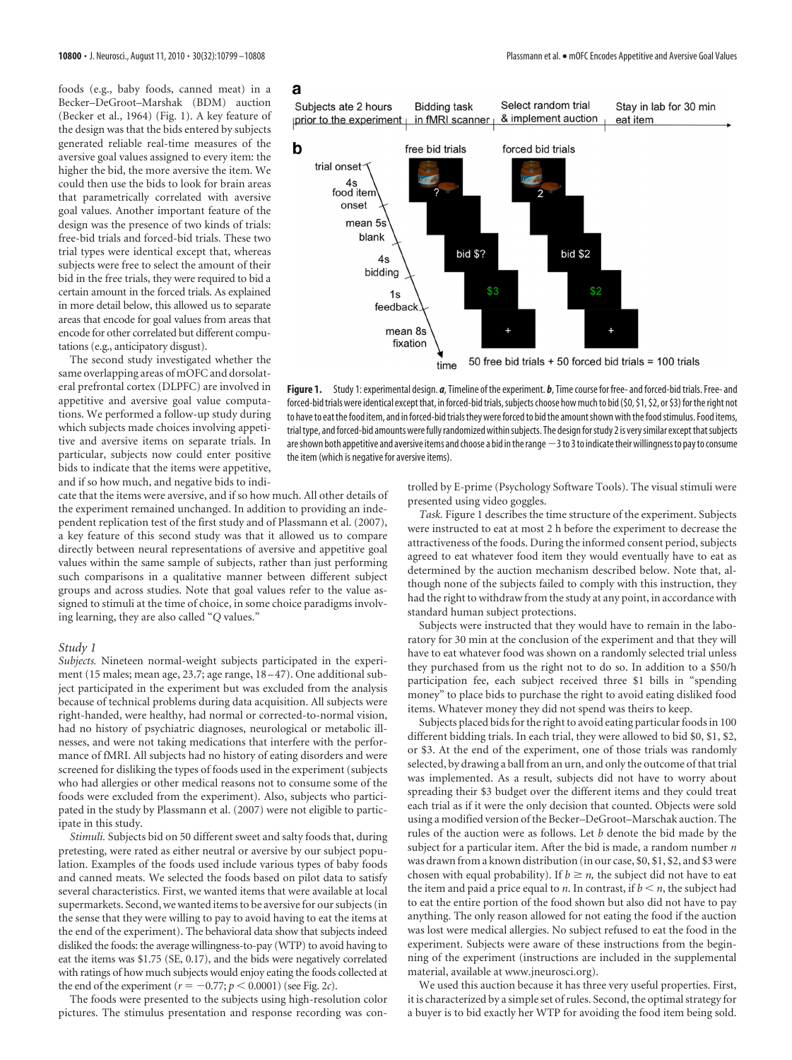foods (e.g., baby foods, canned meat) in a Becker–DeGroot–Marshak (BDM) auction (Becker et al., 1964) (Fig. 1). A key feature of the design was that the bids entered by subjects generated reliable real-time measures of the aversive goal values assigned to every item: the higher the bid, the more aversive the item. We could then use the bids to look for brain areas that parametrically correlated with aversive goal values. Another important feature of the design was the presence of two kinds of trials: free-bid trials and forced-bid trials. These two trial types were identical except that, whereas subjects were free to select the amount of their bid in the free trials, they were required to bid a certain amount in the forced trials. As explained in more detail below, this allowed us to separate areas that encode for goal values from areas that encode for other correlated but different computations (e.g., anticipatory disgust).

The second study investigated whether the same overlapping areas of mOFC and dorsolateral prefrontal cortex (DLPFC) are involved in appetitive and aversive goal value computations. We performed a follow-up study during which subjects made choices involving appetitive and aversive items on separate trials. In particular, subjects now could enter positive bids to indicate that the items were appetitive, and if so how much, and negative bids to indi-

cate that the items were aversive, and if so how much. All other details of the experiment remained unchanged. In addition to providing an independent replication test of the first study and of Plassmann et al. (2007), a key feature of this second study was that it allowed us to compare directly between neural representations of aversive and appetitive goal values within the same sample of subjects, rather than just performing such comparisons in a qualitative manner between different subject groups and across studies. Note that goal values refer to the value assigned to stimuli at the time of choice, in some choice paradigms involving learning, they are also called "*Q* values."

#### *Study 1*

*Subjects.* Nineteen normal-weight subjects participated in the experiment (15 males; mean age, 23.7; age range, 18–47). One additional subject participated in the experiment but was excluded from the analysis because of technical problems during data acquisition. All subjects were right-handed, were healthy, had normal or corrected-to-normal vision, had no history of psychiatric diagnoses, neurological or metabolic illnesses, and were not taking medications that interfere with the performance of fMRI. All subjects had no history of eating disorders and were screened for disliking the types of foods used in the experiment (subjects who had allergies or other medical reasons not to consume some of the foods were excluded from the experiment). Also, subjects who participated in the study by Plassmann et al. (2007) were not eligible to participate in this study.

*Stimuli.* Subjects bid on 50 different sweet and salty foods that, during pretesting, were rated as either neutral or aversive by our subject population. Examples of the foods used include various types of baby foods and canned meats. We selected the foods based on pilot data to satisfy several characteristics. First, we wanted items that were available at local supermarkets. Second, we wanted items to be aversive for our subjects (in the sense that they were willing to pay to avoid having to eat the items at the end of the experiment). The behavioral data show that subjects indeed disliked the foods: the average willingness-to-pay (WTP) to avoid having to eat the items was \$1.75 (SE, 0.17), and the bids were negatively correlated with ratings of how much subjects would enjoy eating the foods collected at the end of the experiment  $(r = -0.77; p < 0.0001)$  (see Fig. 2*c*).

The foods were presented to the subjects using high-resolution color pictures. The stimulus presentation and response recording was con-

Select random trial Stay in lab for 30 min Subjects ate 2 hours **Bidding task** prior to the experiment | in fMRI scanner | & implement auction  $\overline{1}$ eat item



50 free bid trials  $+50$  forced bid trials = 100 trials time

**Figure 1.** Study 1: experimental design. *a*, Timeline of the experiment. *b*, Time course for free- and forced-bid trials. Free- and forced-bid trials were identical except that, in forced-bid trials, subjects choose how much to bid (\$0, \$1, \$2, or \$3) for the right not to have to eat the food item, and in forced-bid trials they were forced to bid the amount shown with the food stimulus. Food items, trialtype, and forced-bid amounts were fullyrandomized withinsubjects. The design forstudy 2 is verysimilar exceptthatsubjects are shown both appetitive and aversive items and choose a bid in the range  $-3$  to 3 to indicate their willingness to pay to consume the item (which is negative for aversive items).

> trolled by E-prime (Psychology Software Tools). The visual stimuli were presented using video goggles.

> *Task.* Figure 1 describes the time structure of the experiment. Subjects were instructed to eat at most 2 h before the experiment to decrease the attractiveness of the foods. During the informed consent period, subjects agreed to eat whatever food item they would eventually have to eat as determined by the auction mechanism described below. Note that, although none of the subjects failed to comply with this instruction, they had the right to withdraw from the study at any point, in accordance with standard human subject protections.

> Subjects were instructed that they would have to remain in the laboratory for 30 min at the conclusion of the experiment and that they will have to eat whatever food was shown on a randomly selected trial unless they purchased from us the right not to do so. In addition to a \$50/h participation fee, each subject received three \$1 bills in "spending money" to place bids to purchase the right to avoid eating disliked food items. Whatever money they did not spend was theirs to keep.

> Subjects placed bids for the right to avoid eating particular foods in 100 different bidding trials. In each trial, they were allowed to bid \$0, \$1, \$2, or \$3. At the end of the experiment, one of those trials was randomly selected, by drawing a ball from an urn, and only the outcome of that trial was implemented. As a result, subjects did not have to worry about spreading their \$3 budget over the different items and they could treat each trial as if it were the only decision that counted. Objects were sold using a modified version of the Becker–DeGroot–Marschak auction. The rules of the auction were as follows. Let *b* denote the bid made by the subject for a particular item. After the bid is made, a random number *n* was drawn from a known distribution (in our case, \$0, \$1, \$2, and \$3 were chosen with equal probability). If  $b \ge n$ , the subject did not have to eat the item and paid a price equal to *n*. In contrast, if  $b < n$ , the subject had to eat the entire portion of the food shown but also did not have to pay anything. The only reason allowed for not eating the food if the auction was lost were medical allergies. No subject refused to eat the food in the experiment. Subjects were aware of these instructions from the beginning of the experiment (instructions are included in the supplemental material, available at www.jneurosci.org).

> We used this auction because it has three very useful properties. First, it is characterized by a simple set of rules. Second, the optimal strategy for a buyer is to bid exactly her WTP for avoiding the food item being sold.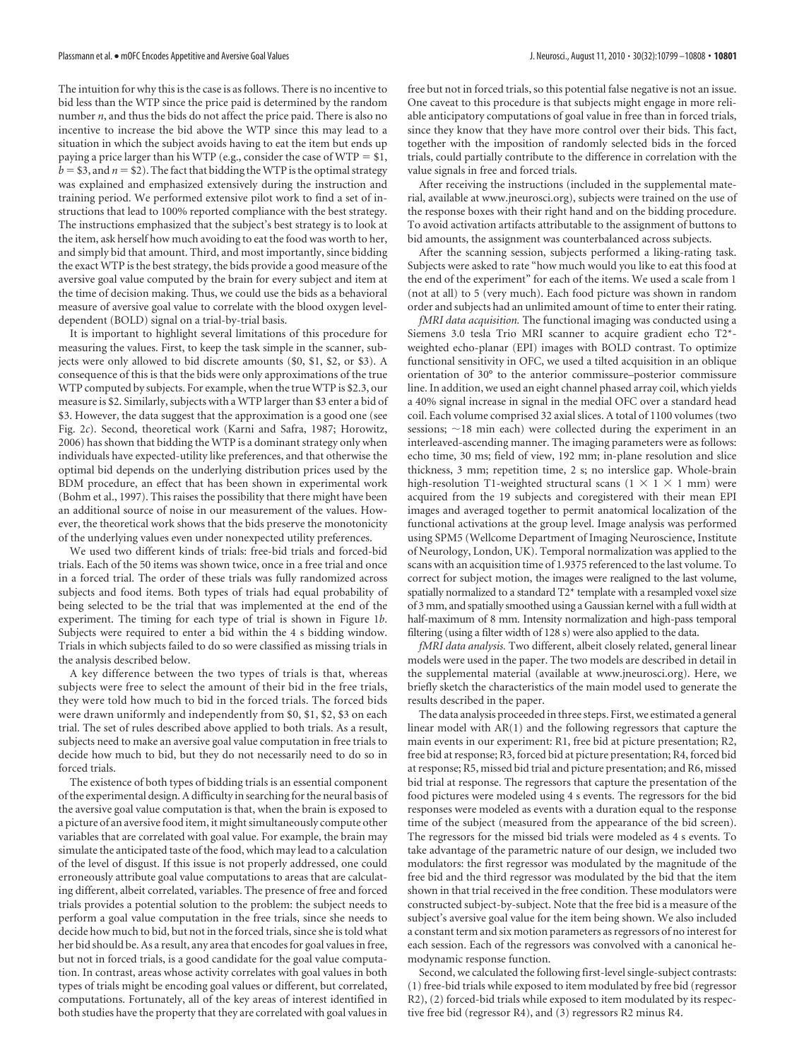The intuition for why this is the case is as follows. There is no incentive to bid less than the WTP since the price paid is determined by the random number *n*, and thus the bids do not affect the price paid. There is also no incentive to increase the bid above the WTP since this may lead to a situation in which the subject avoids having to eat the item but ends up paying a price larger than his WTP (e.g., consider the case of WTP  $= $1,$  $b = $3$ , and  $n = $2$ ). The fact that bidding the WTP is the optimal strategy was explained and emphasized extensively during the instruction and training period. We performed extensive pilot work to find a set of instructions that lead to 100% reported compliance with the best strategy. The instructions emphasized that the subject's best strategy is to look at the item, ask herself how much avoiding to eat the food was worth to her, and simply bid that amount. Third, and most importantly, since bidding the exact WTP is the best strategy, the bids provide a good measure of the aversive goal value computed by the brain for every subject and item at the time of decision making. Thus, we could use the bids as a behavioral measure of aversive goal value to correlate with the blood oxygen leveldependent (BOLD) signal on a trial-by-trial basis.

It is important to highlight several limitations of this procedure for measuring the values. First, to keep the task simple in the scanner, subjects were only allowed to bid discrete amounts (\$0, \$1, \$2, or \$3). A consequence of this is that the bids were only approximations of the true WTP computed by subjects. For example, when the true WTP is \$2.3, our measure is \$2. Similarly, subjects with a WTP larger than \$3 enter a bid of \$3. However, the data suggest that the approximation is a good one (see Fig. 2*c*). Second, theoretical work (Karni and Safra, 1987; Horowitz, 2006) has shown that bidding the WTP is a dominant strategy only when individuals have expected-utility like preferences, and that otherwise the optimal bid depends on the underlying distribution prices used by the BDM procedure, an effect that has been shown in experimental work (Bohm et al., 1997). This raises the possibility that there might have been an additional source of noise in our measurement of the values. However, the theoretical work shows that the bids preserve the monotonicity of the underlying values even under nonexpected utility preferences.

We used two different kinds of trials: free-bid trials and forced-bid trials. Each of the 50 items was shown twice, once in a free trial and once in a forced trial. The order of these trials was fully randomized across subjects and food items. Both types of trials had equal probability of being selected to be the trial that was implemented at the end of the experiment. The timing for each type of trial is shown in Figure 1*b*. Subjects were required to enter a bid within the 4 s bidding window. Trials in which subjects failed to do so were classified as missing trials in the analysis described below.

A key difference between the two types of trials is that, whereas subjects were free to select the amount of their bid in the free trials, they were told how much to bid in the forced trials. The forced bids were drawn uniformly and independently from \$0, \$1, \$2, \$3 on each trial. The set of rules described above applied to both trials. As a result, subjects need to make an aversive goal value computation in free trials to decide how much to bid, but they do not necessarily need to do so in forced trials.

The existence of both types of bidding trials is an essential component of the experimental design. A difficulty in searching for the neural basis of the aversive goal value computation is that, when the brain is exposed to a picture of an aversive food item, it might simultaneously compute other variables that are correlated with goal value. For example, the brain may simulate the anticipated taste of the food, which may lead to a calculation of the level of disgust. If this issue is not properly addressed, one could erroneously attribute goal value computations to areas that are calculating different, albeit correlated, variables. The presence of free and forced trials provides a potential solution to the problem: the subject needs to perform a goal value computation in the free trials, since she needs to decide how much to bid, but not in the forced trials, since she is told what her bid should be. As a result, any area that encodes for goal values in free, but not in forced trials, is a good candidate for the goal value computation. In contrast, areas whose activity correlates with goal values in both types of trials might be encoding goal values or different, but correlated, computations. Fortunately, all of the key areas of interest identified in both studies have the property that they are correlated with goal values in

free but not in forced trials, so this potential false negative is not an issue. One caveat to this procedure is that subjects might engage in more reliable anticipatory computations of goal value in free than in forced trials, since they know that they have more control over their bids. This fact, together with the imposition of randomly selected bids in the forced trials, could partially contribute to the difference in correlation with the value signals in free and forced trials.

After receiving the instructions (included in the supplemental material, available at www.jneurosci.org), subjects were trained on the use of the response boxes with their right hand and on the bidding procedure. To avoid activation artifacts attributable to the assignment of buttons to bid amounts, the assignment was counterbalanced across subjects.

After the scanning session, subjects performed a liking-rating task. Subjects were asked to rate "how much would you like to eat this food at the end of the experiment" for each of the items. We used a scale from 1 (not at all) to 5 (very much). Each food picture was shown in random order and subjects had an unlimited amount of time to enter their rating.

*fMRI data acquisition.* The functional imaging was conducted using a Siemens 3.0 tesla Trio MRI scanner to acquire gradient echo T2\* weighted echo-planar (EPI) images with BOLD contrast. To optimize functional sensitivity in OFC, we used a tilted acquisition in an oblique orientation of 30° to the anterior commissure–posterior commissure line. In addition, we used an eight channel phased array coil, which yields a 40% signal increase in signal in the medial OFC over a standard head coil. Each volume comprised 32 axial slices. A total of 1100 volumes (two sessions;  $\sim$  18 min each) were collected during the experiment in an interleaved-ascending manner. The imaging parameters were as follows: echo time, 30 ms; field of view, 192 mm; in-plane resolution and slice thickness, 3 mm; repetition time, 2 s; no interslice gap. Whole-brain high-resolution T1-weighted structural scans ( $1 \times 1 \times 1$  mm) were acquired from the 19 subjects and coregistered with their mean EPI images and averaged together to permit anatomical localization of the functional activations at the group level. Image analysis was performed using SPM5 (Wellcome Department of Imaging Neuroscience, Institute of Neurology, London, UK). Temporal normalization was applied to the scans with an acquisition time of 1.9375 referenced to the last volume. To correct for subject motion, the images were realigned to the last volume, spatially normalized to a standard T2\* template with a resampled voxel size of 3 mm, and spatially smoothed using a Gaussian kernel with a full width at half-maximum of 8 mm. Intensity normalization and high-pass temporal filtering (using a filter width of 128 s) were also applied to the data.

*fMRI data analysis.* Two different, albeit closely related, general linear models were used in the paper. The two models are described in detail in the supplemental material (available at www.jneurosci.org). Here, we briefly sketch the characteristics of the main model used to generate the results described in the paper.

The data analysis proceeded in three steps. First, we estimated a general linear model with AR(1) and the following regressors that capture the main events in our experiment: R1, free bid at picture presentation; R2, free bid at response; R3, forced bid at picture presentation; R4, forced bid at response; R5, missed bid trial and picture presentation; and R6, missed bid trial at response. The regressors that capture the presentation of the food pictures were modeled using 4 s events. The regressors for the bid responses were modeled as events with a duration equal to the response time of the subject (measured from the appearance of the bid screen). The regressors for the missed bid trials were modeled as 4 s events. To take advantage of the parametric nature of our design, we included two modulators: the first regressor was modulated by the magnitude of the free bid and the third regressor was modulated by the bid that the item shown in that trial received in the free condition. These modulators were constructed subject-by-subject. Note that the free bid is a measure of the subject's aversive goal value for the item being shown. We also included a constant term and six motion parameters as regressors of no interest for each session. Each of the regressors was convolved with a canonical hemodynamic response function.

Second, we calculated the following first-level single-subject contrasts: (1) free-bid trials while exposed to item modulated by free bid (regressor R2), (2) forced-bid trials while exposed to item modulated by its respective free bid (regressor R4), and (3) regressors R2 minus R4.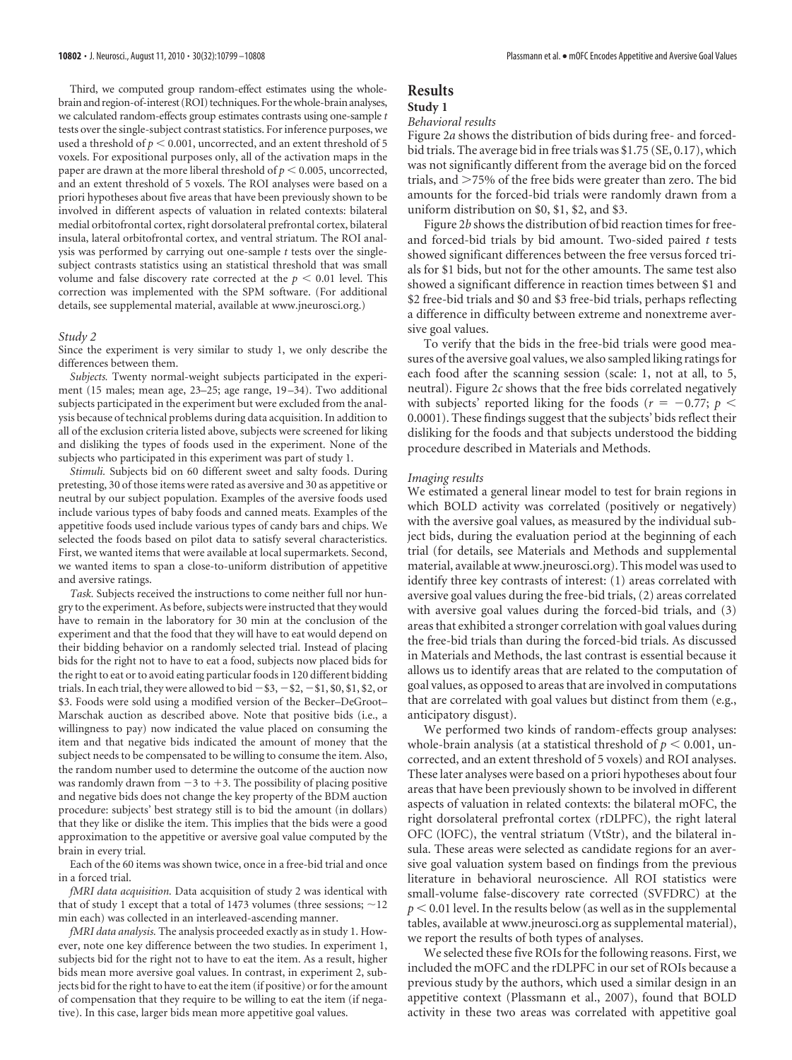Third, we computed group random-effect estimates using the wholebrain and region-of-interest (ROI) techniques. For thewhole-brain analyses, we calculated random-effects group estimates contrasts using one-sample *t* tests over the single-subject contrast statistics. For inference purposes, we used a threshold of  $p < 0.001$ , uncorrected, and an extent threshold of 5 voxels. For expositional purposes only, all of the activation maps in the paper are drawn at the more liberal threshold of  $p < 0.005$ , uncorrected, and an extent threshold of 5 voxels. The ROI analyses were based on a priori hypotheses about five areas that have been previously shown to be involved in different aspects of valuation in related contexts: bilateral medial orbitofrontal cortex, right dorsolateral prefrontal cortex, bilateral insula, lateral orbitofrontal cortex, and ventral striatum. The ROI analysis was performed by carrying out one-sample *t* tests over the singlesubject contrasts statistics using an statistical threshold that was small volume and false discovery rate corrected at the  $p < 0.01$  level. This correction was implemented with the SPM software. (For additional details, see supplemental material, available at www.jneurosci.org.)

#### *Study 2*

Since the experiment is very similar to study 1, we only describe the differences between them.

*Subjects.* Twenty normal-weight subjects participated in the experiment (15 males; mean age, 23–25; age range, 19 –34). Two additional subjects participated in the experiment but were excluded from the analysis because of technical problems during data acquisition. In addition to all of the exclusion criteria listed above, subjects were screened for liking and disliking the types of foods used in the experiment. None of the subjects who participated in this experiment was part of study 1.

*Stimuli.* Subjects bid on 60 different sweet and salty foods. During pretesting, 30 of those items were rated as aversive and 30 as appetitive or neutral by our subject population. Examples of the aversive foods used include various types of baby foods and canned meats. Examples of the appetitive foods used include various types of candy bars and chips. We selected the foods based on pilot data to satisfy several characteristics. First, we wanted items that were available at local supermarkets. Second, we wanted items to span a close-to-uniform distribution of appetitive and aversive ratings.

*Task.* Subjects received the instructions to come neither full nor hungry to the experiment. As before, subjects were instructed that they would have to remain in the laboratory for 30 min at the conclusion of the experiment and that the food that they will have to eat would depend on their bidding behavior on a randomly selected trial. Instead of placing bids for the right not to have to eat a food, subjects now placed bids for the right to eat or to avoid eating particular foods in 120 different bidding trials. In each trial, they were allowed to bid  $-\$3, -\$2, -\$1, \$0, \$1, \$2,$  or \$3. Foods were sold using a modified version of the Becker–DeGroot– Marschak auction as described above. Note that positive bids (i.e., a willingness to pay) now indicated the value placed on consuming the item and that negative bids indicated the amount of money that the subject needs to be compensated to be willing to consume the item. Also, the random number used to determine the outcome of the auction now was randomly drawn from  $-3$  to  $+3$ . The possibility of placing positive and negative bids does not change the key property of the BDM auction procedure: subjects' best strategy still is to bid the amount (in dollars) that they like or dislike the item. This implies that the bids were a good approximation to the appetitive or aversive goal value computed by the brain in every trial.

Each of the 60 items was shown twice, once in a free-bid trial and once in a forced trial.

*fMRI data acquisition.* Data acquisition of study 2 was identical with that of study 1 except that a total of 1473 volumes (three sessions;  $\sim$  12 min each) was collected in an interleaved-ascending manner.

*fMRI data analysis.* The analysis proceeded exactly as in study 1. However, note one key difference between the two studies. In experiment 1, subjects bid for the right not to have to eat the item. As a result, higher bids mean more aversive goal values. In contrast, in experiment 2, subjects bid for the right to have to eat the item (if positive) or for the amount of compensation that they require to be willing to eat the item (if negative). In this case, larger bids mean more appetitive goal values.

## **Results Study 1**

*Behavioral results*

Figure 2*a* shows the distribution of bids during free- and forcedbid trials. The average bid in free trials was \$1.75 (SE, 0.17), which was not significantly different from the average bid on the forced trials, and  $>75\%$  of the free bids were greater than zero. The bid amounts for the forced-bid trials were randomly drawn from a uniform distribution on \$0, \$1, \$2, and \$3.

Figure 2*b* shows the distribution of bid reaction times for freeand forced-bid trials by bid amount. Two-sided paired *t* tests showed significant differences between the free versus forced trials for \$1 bids, but not for the other amounts. The same test also showed a significant difference in reaction times between \$1 and \$2 free-bid trials and \$0 and \$3 free-bid trials, perhaps reflecting a difference in difficulty between extreme and nonextreme aversive goal values.

To verify that the bids in the free-bid trials were good measures of the aversive goal values, we also sampled liking ratings for each food after the scanning session (scale: 1, not at all, to 5, neutral). Figure 2*c* shows that the free bids correlated negatively with subjects' reported liking for the foods ( $r = -0.77; p <$ 0.0001). These findings suggest that the subjects' bids reflect their disliking for the foods and that subjects understood the bidding procedure described in Materials and Methods.

## *Imaging results*

We estimated a general linear model to test for brain regions in which BOLD activity was correlated (positively or negatively) with the aversive goal values, as measured by the individual subject bids, during the evaluation period at the beginning of each trial (for details, see Materials and Methods and supplemental material, available at www.jneurosci.org). This model was used to identify three key contrasts of interest: (1) areas correlated with aversive goal values during the free-bid trials, (2) areas correlated with aversive goal values during the forced-bid trials, and (3) areas that exhibited a stronger correlation with goal values during the free-bid trials than during the forced-bid trials. As discussed in Materials and Methods, the last contrast is essential because it allows us to identify areas that are related to the computation of goal values, as opposed to areas that are involved in computations that are correlated with goal values but distinct from them (e.g., anticipatory disgust).

We performed two kinds of random-effects group analyses: whole-brain analysis (at a statistical threshold of  $p < 0.001$ , uncorrected, and an extent threshold of 5 voxels) and ROI analyses. These later analyses were based on a priori hypotheses about four areas that have been previously shown to be involved in different aspects of valuation in related contexts: the bilateral mOFC, the right dorsolateral prefrontal cortex (rDLPFC), the right lateral OFC (lOFC), the ventral striatum (VtStr), and the bilateral insula. These areas were selected as candidate regions for an aversive goal valuation system based on findings from the previous literature in behavioral neuroscience. All ROI statistics were small-volume false-discovery rate corrected (SVFDRC) at the  $p < 0.01$  level. In the results below (as well as in the supplemental tables, available at www.jneurosci.org as supplemental material), we report the results of both types of analyses.

We selected these five ROIs for the following reasons. First, we included the mOFC and the rDLPFC in our set of ROIs because a previous study by the authors, which used a similar design in an appetitive context (Plassmann et al., 2007), found that BOLD activity in these two areas was correlated with appetitive goal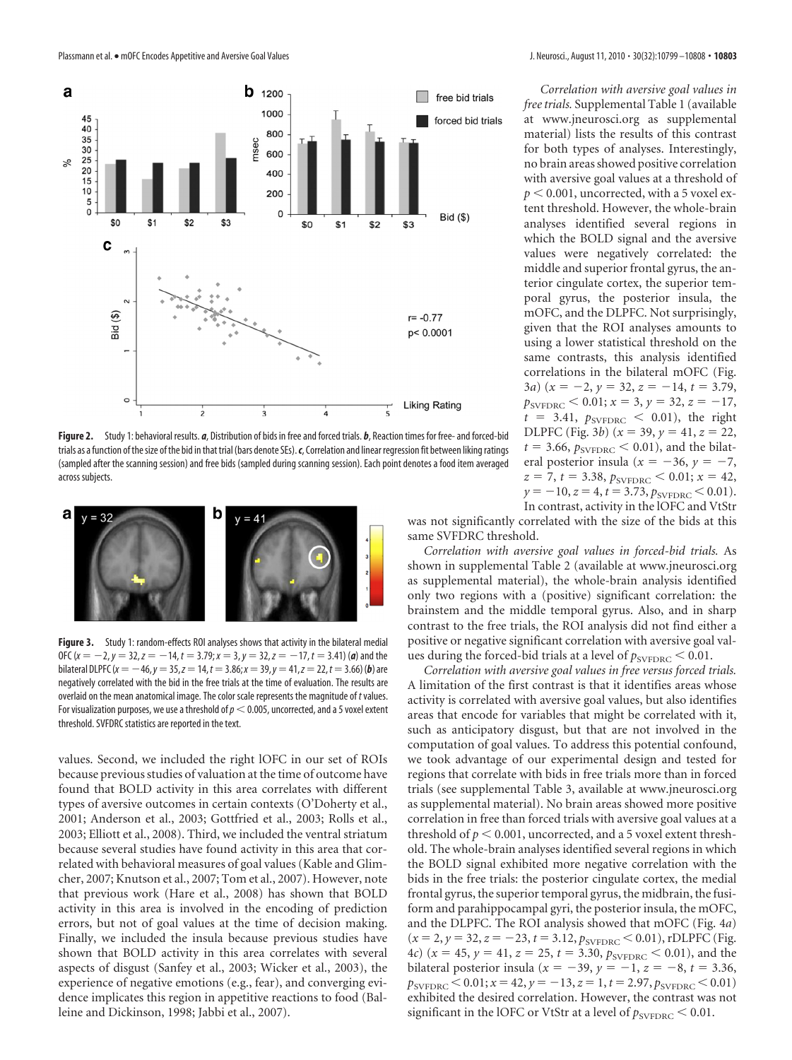

**Figure 2.** Study 1: behavioral results. *a*, Distribution of bids in free and forced trials. *b*, Reaction times for free- and forced-bid trials as a function of thesize of the bid in that trial (bars denote SEs).*c*, Correlation and linear regression fit between liking ratings (sampled after the scanning session) and free bids (sampled during scanning session). Each point denotes a food item averaged across subjects.



**Figure 3.** Study 1: random-effects ROI analyses shows that activity in the bilateral medial OFC ( $x = -2$ ,  $y = 32$ ,  $z = -14$ ,  $t = 3.79$ ;  $x = 3$ ,  $y = 32$ ,  $z = -17$ ,  $t = 3.41$ ) (*a*) and the bilateral DLPFC ( $x = -46$ ,  $y = 35$ ,  $z = 14$ ,  $t = 3.86$ ;  $x = 39$ ,  $y = 41$ ,  $z = 22$ ,  $t = 3.66$ ) (**b**) are negatively correlated with the bid in the free trials at the time of evaluation. The results are overlaid on the mean anatomical image. The color scale represents the magnitude of *t*values. For visualization purposes, we use a threshold of  $p < 0.005$ , uncorrected, and a 5 voxel extent threshold. SVFDRC statistics are reported in the text.

values. Second, we included the right lOFC in our set of ROIs because previous studies of valuation at the time of outcome have found that BOLD activity in this area correlates with different types of aversive outcomes in certain contexts (O'Doherty et al., 2001; Anderson et al., 2003; Gottfried et al., 2003; Rolls et al., 2003; Elliott et al., 2008). Third, we included the ventral striatum because several studies have found activity in this area that correlated with behavioral measures of goal values (Kable and Glimcher, 2007; Knutson et al., 2007; Tom et al., 2007). However, note that previous work (Hare et al., 2008) has shown that BOLD activity in this area is involved in the encoding of prediction errors, but not of goal values at the time of decision making. Finally, we included the insula because previous studies have shown that BOLD activity in this area correlates with several aspects of disgust (Sanfey et al., 2003; Wicker et al., 2003), the experience of negative emotions (e.g., fear), and converging evidence implicates this region in appetitive reactions to food (Balleine and Dickinson, 1998; Jabbi et al., 2007).

*Correlation with aversive goal values in free trials.* Supplemental Table 1 (available at www.jneurosci.org as supplemental material) lists the results of this contrast for both types of analyses. Interestingly, no brain areas showed positive correlation with aversive goal values at a threshold of  $p < 0.001$ , uncorrected, with a 5 voxel extent threshold. However, the whole-brain analyses identified several regions in which the BOLD signal and the aversive values were negatively correlated: the middle and superior frontal gyrus, the anterior cingulate cortex, the superior temporal gyrus, the posterior insula, the mOFC, and the DLPFC. Not surprisingly, given that the ROI analyses amounts to using a lower statistical threshold on the same contrasts, this analysis identified correlations in the bilateral mOFC (Fig.  $3a)$  ( $x = -2$ ,  $y = 32$ ,  $z = -14$ ,  $t = 3.79$ ,  $p_{\text{SVFDRC}}$   $<$  0.01;  $x = 3$ ,  $y = 32$ ,  $z = -17$ ,  $t = 3.41, p_{\text{SVFDRC}} < 0.01$ , the right DLPFC (Fig. 3*b*)  $(x = 39, y = 41, z = 22,$  $t = 3.66$ ,  $p<sub>SVFDRC</sub> < 0.01$ , and the bilateral posterior insula ( $x = -36$ ,  $y = -7$ ,  $z = 7$ ,  $t = 3.38$ ,  $p_{\text{SVEDRC}} < 0.01$ ;  $x = 42$ ,  $y = -10$ ,  $z = 4$ ,  $t = 3.73$ ,  $p_{\text{SVFDRC}} < 0.01$ ). In contrast, activity in the lOFC and VtStr

was not significantly correlated with the size of the bids at this same SVFDRC threshold.

*Correlation with aversive goal values in forced-bid trials.* As shown in supplemental Table 2 (available at www.jneurosci.org as supplemental material), the whole-brain analysis identified only two regions with a (positive) significant correlation: the brainstem and the middle temporal gyrus. Also, and in sharp contrast to the free trials, the ROI analysis did not find either a positive or negative significant correlation with aversive goal values during the forced-bid trials at a level of  $p_{\text{SVEDRC}}$  < 0.01.

*Correlation with aversive goal values in free versus forced trials.* A limitation of the first contrast is that it identifies areas whose activity is correlated with aversive goal values, but also identifies areas that encode for variables that might be correlated with it, such as anticipatory disgust, but that are not involved in the computation of goal values. To address this potential confound, we took advantage of our experimental design and tested for regions that correlate with bids in free trials more than in forced trials (see supplemental Table 3, available at www.jneurosci.org as supplemental material). No brain areas showed more positive correlation in free than forced trials with aversive goal values at a threshold of  $p < 0.001$ , uncorrected, and a 5 voxel extent threshold. The whole-brain analyses identified several regions in which the BOLD signal exhibited more negative correlation with the bids in the free trials: the posterior cingulate cortex, the medial frontal gyrus, the superior temporal gyrus, the midbrain, the fusiform and parahippocampal gyri, the posterior insula, the mOFC, and the DLPFC. The ROI analysis showed that mOFC (Fig. 4*a*)  $(x = 2, y = 32, z = -23, t = 3.12, p_{\text{SVFDRC}} < 0.01)$ , rDLPFC (Fig. 4*c*) ( $x = 45$ ,  $y = 41$ ,  $z = 25$ ,  $t = 3.30$ ,  $p_{\text{SVFDRC}} < 0.01$ ), and the bilateral posterior insula ( $x = -39$ ,  $y = -1$ ,  $z = -8$ ,  $t = 3.36$ ,  $p_{\text{SVFDRC}}$  < 0.01;  $x = 42$ ,  $y = -13$ ,  $z = 1$ ,  $t = 2.97$ ,  $p_{\text{SVFDRC}}$  < 0.01) exhibited the desired correlation. However, the contrast was not significant in the lOFC or VtStr at a level of  $p_{\text{SVPDRC}}$  < 0.01.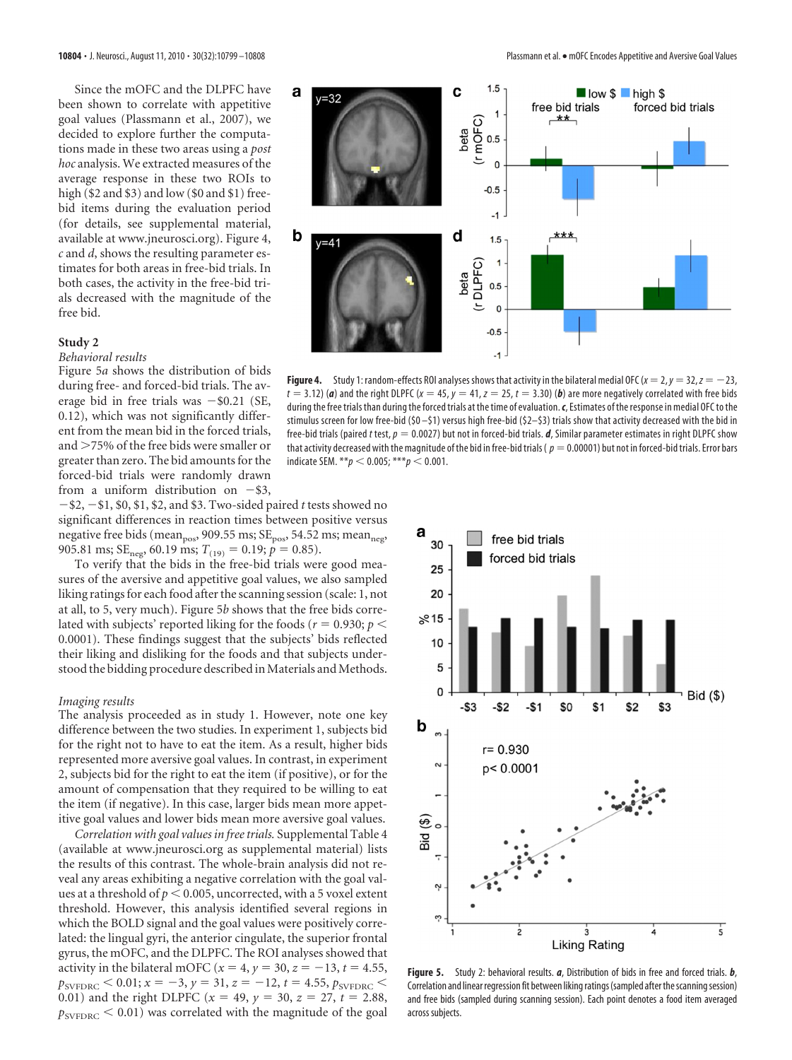Since the mOFC and the DLPFC have been shown to correlate with appetitive goal values (Plassmann et al., 2007), we decided to explore further the computations made in these two areas using a *post hoc* analysis. We extracted measures of the average response in these two ROIs to high (\$2 and \$3) and low (\$0 and \$1) freebid items during the evaluation period (for details, see supplemental material, available at www.jneurosci.org). Figure 4, *c* and *d*, shows the resulting parameter estimates for both areas in free-bid trials. In both cases, the activity in the free-bid trials decreased with the magnitude of the free bid.

#### **Study 2**

#### *Behavioral results*

Figure 5*a* shows the distribution of bids during free- and forced-bid trials. The average bid in free trials was -\$0.21 (SE, 0.12), which was not significantly different from the mean bid in the forced trials, and  $>$  75% of the free bids were smaller or greater than zero. The bid amounts for the forced-bid trials were randomly drawn from a uniform distribution on -\$3,

-\$2, -\$1, \$0, \$1, \$2, and \$3. Two-sided paired *t* tests showed no significant differences in reaction times between positive versus negative free bids (mean<sub>pos</sub>, 909.55 ms; SE<sub>pos</sub>, 54.52 ms; mean<sub>neg</sub>, 905.81 ms;  $SE_{\text{neg}}$ , 60.19 ms;  $T_{(19)} = 0.19$ ;  $p = 0.85$ ).

To verify that the bids in the free-bid trials were good measures of the aversive and appetitive goal values, we also sampled liking ratings for each food after the scanning session (scale: 1, not at all, to 5, very much). Figure 5*b* shows that the free bids correlated with subjects' reported liking for the foods ( $r = 0.930$ ;  $p <$ 0.0001). These findings suggest that the subjects' bids reflected their liking and disliking for the foods and that subjects understood the bidding procedure described in Materials and Methods.

#### *Imaging results*

The analysis proceeded as in study 1. However, note one key difference between the two studies. In experiment 1, subjects bid for the right not to have to eat the item. As a result, higher bids represented more aversive goal values. In contrast, in experiment 2, subjects bid for the right to eat the item (if positive), or for the amount of compensation that they required to be willing to eat the item (if negative). In this case, larger bids mean more appetitive goal values and lower bids mean more aversive goal values.

*Correlation with goal values in free trials.* Supplemental Table 4 (available at www.jneurosci.org as supplemental material) lists the results of this contrast. The whole-brain analysis did not reveal any areas exhibiting a negative correlation with the goal values at a threshold of  $p < 0.005$ , uncorrected, with a 5 voxel extent threshold. However, this analysis identified several regions in which the BOLD signal and the goal values were positively correlated: the lingual gyri, the anterior cingulate, the superior frontal gyrus, the mOFC, and the DLPFC. The ROI analyses showed that activity in the bilateral mOFC ( $x = 4$ ,  $y = 30$ ,  $z = -13$ ,  $t = 4.55$ ,  $p_{\text{SVFDRC}}$  < 0.01;  $x = -3$ ,  $y = 31$ ,  $z = -12$ ,  $t = 4.55$ ,  $p_{\text{SVFDRC}}$  < 0.01) and the right DLPFC ( $x = 49$ ,  $y = 30$ ,  $z = 27$ ,  $t = 2.88$ ,  $p_{\text{SVEDRC}}$   $<$  0.01) was correlated with the magnitude of the goal



**Figure 4.** Study 1: random-effects ROI analyses shows that activity in the bilateral medial OFC  $(x = 2, y = 32, z = -23, z = 10)$  $t = 3.12$ ) (*a*) and the right DLPFC ( $x = 45$ ,  $y = 41$ ,  $z = 25$ ,  $t = 3.30$ ) (*b*) are more negatively correlated with free bids during the free trials than during the forced trials at the time of evaluation. *c*, Estimates of the response in medial OFC to the stimulus screen for low free-bid ( $$0 - $1$ ) versus high free-bid ( $$2 - $3$ ) trials show that activity decreased with the bid in free-bid trials (paired *t* test,  $p = 0.0027$ ) but not in forced-bid trials. *d*, Similar parameter estimates in right DLPFC show that activity decreased with the magnitude of the bid in free-bid trials ( $p = 0.00001$ ) but not in forced-bid trials. Error bars indicate SEM.  $**p < 0.005$ ;  $***p < 0.001$ .



**Figure 5.** Study 2: behavioral results. *a*, Distribution of bids in free and forced trials. *b*, Correlation and linear regression fit between liking ratings (sampled after the scanning session) and free bids (sampled during scanning session). Each point denotes a food item averaged across subjects.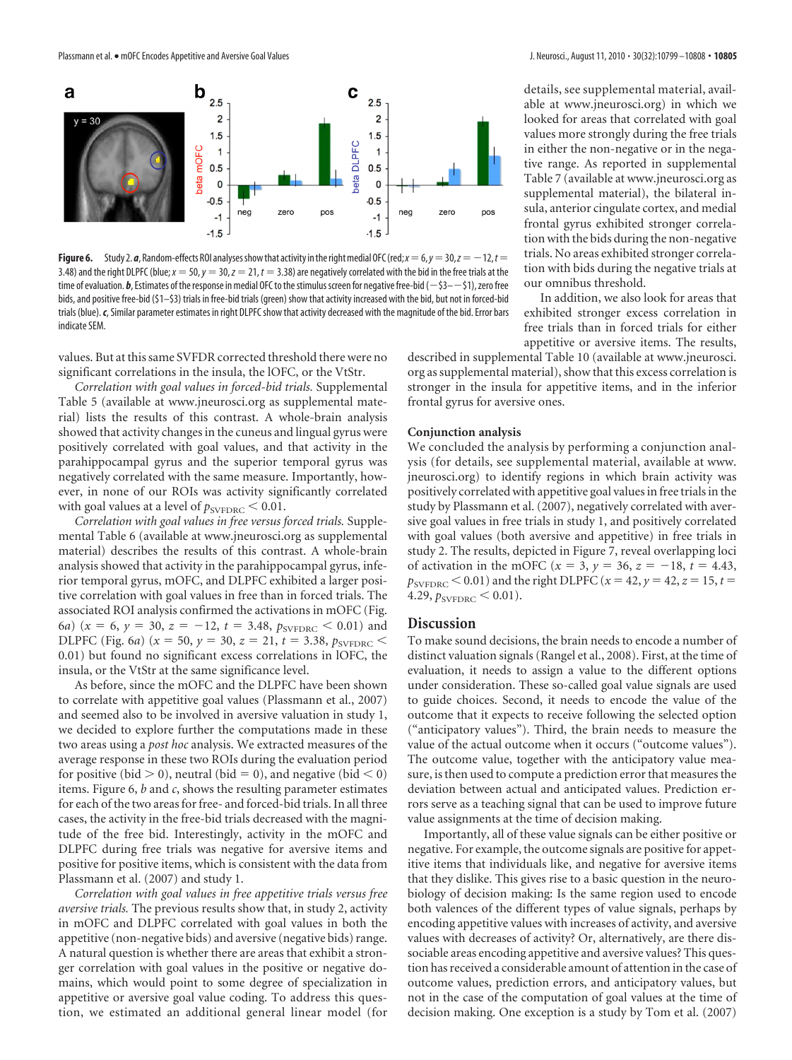

**Figure 6.** Study 2. *a*, Random-effects ROI analyses show that activity in the right medial OFC (red;  $x = 6$ ,  $y = 30$ ,  $z = -12$ ,  $t =$ 3.48) and the right DLPFC (blue;  $x = 50$ ,  $y = 30$ ,  $z = 21$ ,  $t = 3.38$ ) are negatively correlated with the bid in the free trials at the time of evaluation.  $b$ , Estimates of the response in medial OFC to the stimulus screen for negative free-bid ( $-$ \$3 $-$ \$1), zero free bids, and positive free-bid (\$1–\$3) trials in free-bid trials (green) show that activity increased with the bid, but not in forced-bid trials (blue). *c*, Similar parameter estimates in right DLPFC show that activity decreased with the magnitude of the bid. Error bars indicate SEM.

values. But at this same SVFDR corrected threshold there were no significant correlations in the insula, the lOFC, or the VtStr.

*Correlation with goal values in forced-bid trials.* Supplemental Table 5 (available at www.jneurosci.org as supplemental material) lists the results of this contrast. A whole-brain analysis showed that activity changes in the cuneus and lingual gyrus were positively correlated with goal values, and that activity in the parahippocampal gyrus and the superior temporal gyrus was negatively correlated with the same measure. Importantly, however, in none of our ROIs was activity significantly correlated with goal values at a level of  $p_{\text{SVEDRC}}$  < 0.01.

*Correlation with goal values in free versus forced trials.* Supplemental Table 6 (available at www.jneurosci.org as supplemental material) describes the results of this contrast. A whole-brain analysis showed that activity in the parahippocampal gyrus, inferior temporal gyrus, mOFC, and DLPFC exhibited a larger positive correlation with goal values in free than in forced trials. The associated ROI analysis confirmed the activations in mOFC (Fig. 6*a*) ( $x = 6$ ,  $y = 30$ ,  $z = -12$ ,  $t = 3.48$ ,  $p_{\text{SVFDRC}} < 0.01$ ) and DLPFC (Fig. 6*a*) ( $x = 50$ ,  $y = 30$ ,  $z = 21$ ,  $t = 3.38$ ,  $p_{\text{SVFDRC}}$ 0.01) but found no significant excess correlations in lOFC, the insula, or the VtStr at the same significance level.

As before, since the mOFC and the DLPFC have been shown to correlate with appetitive goal values (Plassmann et al., 2007) and seemed also to be involved in aversive valuation in study 1, we decided to explore further the computations made in these two areas using a *post hoc* analysis. We extracted measures of the average response in these two ROIs during the evaluation period for positive (bid  $>$  0), neutral (bid  $=$  0), and negative (bid  $<$  0) items. Figure  $6$ ,  $b$  and  $c$ , shows the resulting parameter estimates for each of the two areas for free- and forced-bid trials. In all three cases, the activity in the free-bid trials decreased with the magnitude of the free bid. Interestingly, activity in the mOFC and DLPFC during free trials was negative for aversive items and positive for positive items, which is consistent with the data from Plassmann et al. (2007) and study 1.

*Correlation with goal values in free appetitive trials versus free aversive trials.* The previous results show that, in study 2, activity in mOFC and DLPFC correlated with goal values in both the appetitive (non-negative bids) and aversive (negative bids) range. A natural question is whether there are areas that exhibit a stronger correlation with goal values in the positive or negative domains, which would point to some degree of specialization in appetitive or aversive goal value coding. To address this question, we estimated an additional general linear model (for

details, see supplemental material, available at www.jneurosci.org) in which we looked for areas that correlated with goal values more strongly during the free trials in either the non-negative or in the negative range. As reported in supplemental Table 7 (available at www.jneurosci.org as supplemental material), the bilateral insula, anterior cingulate cortex, and medial frontal gyrus exhibited stronger correlation with the bids during the non-negative trials. No areas exhibited stronger correlation with bids during the negative trials at our omnibus threshold.

In addition, we also look for areas that exhibited stronger excess correlation in free trials than in forced trials for either appetitive or aversive items. The results,

described in supplemental Table 10 (available at www.jneurosci. org as supplemental material), show that this excess correlation is stronger in the insula for appetitive items, and in the inferior frontal gyrus for aversive ones.

## **Conjunction analysis**

We concluded the analysis by performing a conjunction analysis (for details, see supplemental material, available at www. jneurosci.org) to identify regions in which brain activity was positively correlated with appetitive goal values in free trials in the study by Plassmann et al. (2007), negatively correlated with aversive goal values in free trials in study 1, and positively correlated with goal values (both aversive and appetitive) in free trials in study 2. The results, depicted in Figure 7, reveal overlapping loci of activation in the mOFC  $(x = 3, y = 36, z = -18, t = 4.43,$  $p_{\text{SVEDRC}}$  < 0.01) and the right DLPFC ( $x = 42$ ,  $y = 42$ ,  $z = 15$ ,  $t =$ 4.29,  $p_{\text{SVFDRC}}$  < 0.01).

## **Discussion**

To make sound decisions, the brain needs to encode a number of distinct valuation signals (Rangel et al., 2008). First, at the time of evaluation, it needs to assign a value to the different options under consideration. These so-called goal value signals are used to guide choices. Second, it needs to encode the value of the outcome that it expects to receive following the selected option ("anticipatory values"). Third, the brain needs to measure the value of the actual outcome when it occurs ("outcome values"). The outcome value, together with the anticipatory value measure, is then used to compute a prediction error that measures the deviation between actual and anticipated values. Prediction errors serve as a teaching signal that can be used to improve future value assignments at the time of decision making.

Importantly, all of these value signals can be either positive or negative. For example, the outcome signals are positive for appetitive items that individuals like, and negative for aversive items that they dislike. This gives rise to a basic question in the neurobiology of decision making: Is the same region used to encode both valences of the different types of value signals, perhaps by encoding appetitive values with increases of activity, and aversive values with decreases of activity? Or, alternatively, are there dissociable areas encoding appetitive and aversive values? This question has received a considerable amount of attention in the case of outcome values, prediction errors, and anticipatory values, but not in the case of the computation of goal values at the time of decision making. One exception is a study by Tom et al. (2007)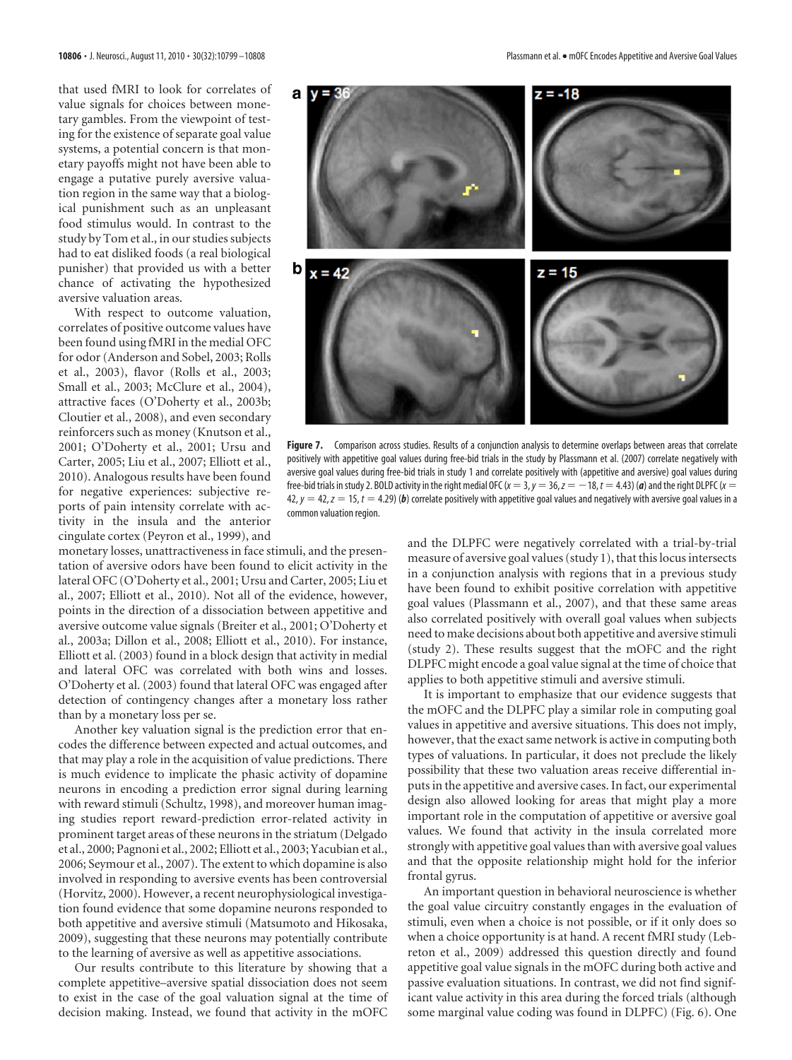that used fMRI to look for correlates of value signals for choices between monetary gambles. From the viewpoint of testing for the existence of separate goal value systems, a potential concern is that monetary payoffs might not have been able to engage a putative purely aversive valuation region in the same way that a biological punishment such as an unpleasant food stimulus would. In contrast to the study by Tom et al., in our studies subjects had to eat disliked foods (a real biological punisher) that provided us with a better chance of activating the hypothesized aversive valuation areas.

With respect to outcome valuation, correlates of positive outcome values have been found using fMRI in the medial OFC for odor (Anderson and Sobel, 2003; Rolls et al., 2003), flavor (Rolls et al., 2003; Small et al., 2003; McClure et al., 2004), attractive faces (O'Doherty et al., 2003b; Cloutier et al., 2008), and even secondary reinforcers such as money (Knutson et al., 2001; O'Doherty et al., 2001; Ursu and Carter, 2005; Liu et al., 2007; Elliott et al., 2010). Analogous results have been found for negative experiences: subjective reports of pain intensity correlate with activity in the insula and the anterior cingulate cortex (Peyron et al., 1999), and

monetary losses, unattractiveness in face stimuli, and the presentation of aversive odors have been found to elicit activity in the lateral OFC (O'Doherty et al., 2001; Ursu and Carter, 2005; Liu et al., 2007; Elliott et al., 2010). Not all of the evidence, however, points in the direction of a dissociation between appetitive and aversive outcome value signals (Breiter et al., 2001; O'Doherty et al., 2003a; Dillon et al., 2008; Elliott et al., 2010). For instance, Elliott et al. (2003) found in a block design that activity in medial and lateral OFC was correlated with both wins and losses. O'Doherty et al. (2003) found that lateral OFC was engaged after detection of contingency changes after a monetary loss rather than by a monetary loss per se.

Another key valuation signal is the prediction error that encodes the difference between expected and actual outcomes, and that may play a role in the acquisition of value predictions. There is much evidence to implicate the phasic activity of dopamine neurons in encoding a prediction error signal during learning with reward stimuli (Schultz, 1998), and moreover human imaging studies report reward-prediction error-related activity in prominent target areas of these neurons in the striatum (Delgado et al., 2000; Pagnoni et al., 2002; Elliott et al., 2003; Yacubian et al., 2006; Seymour et al., 2007). The extent to which dopamine is also involved in responding to aversive events has been controversial (Horvitz, 2000). However, a recent neurophysiological investigation found evidence that some dopamine neurons responded to both appetitive and aversive stimuli (Matsumoto and Hikosaka, 2009), suggesting that these neurons may potentially contribute to the learning of aversive as well as appetitive associations.

Our results contribute to this literature by showing that a complete appetitive–aversive spatial dissociation does not seem to exist in the case of the goal valuation signal at the time of decision making. Instead, we found that activity in the mOFC

and the DLPFC were negatively correlated with a trial-by-trial measure of aversive goal values (study 1), that this locus intersects in a conjunction analysis with regions that in a previous study have been found to exhibit positive correlation with appetitive goal values (Plassmann et al., 2007), and that these same areas also correlated positively with overall goal values when subjects need to make decisions about both appetitive and aversive stimuli (study 2). These results suggest that the mOFC and the right DLPFC might encode a goal value signal at the time of choice that applies to both appetitive stimuli and aversive stimuli.

It is important to emphasize that our evidence suggests that the mOFC and the DLPFC play a similar role in computing goal values in appetitive and aversive situations. This does not imply, however, that the exact same network is active in computing both types of valuations. In particular, it does not preclude the likely possibility that these two valuation areas receive differential inputs in the appetitive and aversive cases. In fact, our experimental design also allowed looking for areas that might play a more important role in the computation of appetitive or aversive goal values. We found that activity in the insula correlated more strongly with appetitive goal values than with aversive goal values and that the opposite relationship might hold for the inferior frontal gyrus.

An important question in behavioral neuroscience is whether the goal value circuitry constantly engages in the evaluation of stimuli, even when a choice is not possible, or if it only does so when a choice opportunity is at hand. A recent fMRI study (Lebreton et al., 2009) addressed this question directly and found appetitive goal value signals in the mOFC during both active and passive evaluation situations. In contrast, we did not find significant value activity in this area during the forced trials (although some marginal value coding was found in DLPFC) (Fig. 6). One



Figure 7. Comparison across studies. Results of a conjunction analysis to determine overlaps between areas that correlate positively with appetitive goal values during free-bid trials in the study by Plassmann et al. (2007) correlate negatively with aversive goal values during free-bid trials in study 1 and correlate positively with (appetitive and aversive) goal values during free-bid trials in study 2. BOLD activity in the right medial OFC ( $x=3$ ,  $y=36$ ,  $z=-18$ ,  $t=4.43$ ) ( $\bm{a}$ ) and the right DLPFC ( $x=$  $42, y = 42, z = 15, t = 4.29$  (b) correlate positively with appetitive goal values and negatively with aversive goal values in a common valuation region.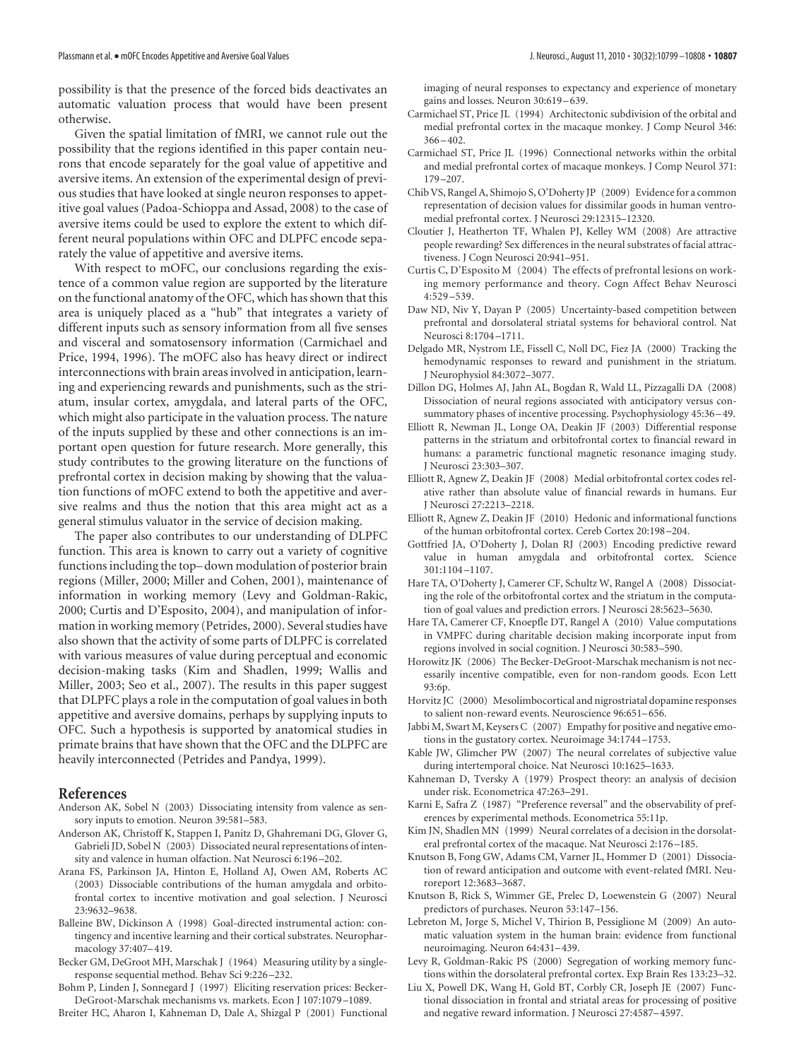possibility is that the presence of the forced bids deactivates an automatic valuation process that would have been present otherwise.

Given the spatial limitation of fMRI, we cannot rule out the possibility that the regions identified in this paper contain neurons that encode separately for the goal value of appetitive and aversive items. An extension of the experimental design of previous studies that have looked at single neuron responses to appetitive goal values (Padoa-Schioppa and Assad, 2008) to the case of aversive items could be used to explore the extent to which different neural populations within OFC and DLPFC encode separately the value of appetitive and aversive items.

With respect to mOFC, our conclusions regarding the existence of a common value region are supported by the literature on the functional anatomy of the OFC, which has shown that this area is uniquely placed as a "hub" that integrates a variety of different inputs such as sensory information from all five senses and visceral and somatosensory information (Carmichael and Price, 1994, 1996). The mOFC also has heavy direct or indirect interconnections with brain areas involved in anticipation, learning and experiencing rewards and punishments, such as the striatum, insular cortex, amygdala, and lateral parts of the OFC, which might also participate in the valuation process. The nature of the inputs supplied by these and other connections is an important open question for future research. More generally, this study contributes to the growing literature on the functions of prefrontal cortex in decision making by showing that the valuation functions of mOFC extend to both the appetitive and aversive realms and thus the notion that this area might act as a general stimulus valuator in the service of decision making.

The paper also contributes to our understanding of DLPFC function. This area is known to carry out a variety of cognitive functions including the top– down modulation of posterior brain regions (Miller, 2000; Miller and Cohen, 2001), maintenance of information in working memory (Levy and Goldman-Rakic, 2000; Curtis and D'Esposito, 2004), and manipulation of information in working memory (Petrides, 2000). Several studies have also shown that the activity of some parts of DLPFC is correlated with various measures of value during perceptual and economic decision-making tasks (Kim and Shadlen, 1999; Wallis and Miller, 2003; Seo et al., 2007). The results in this paper suggest that DLPFC plays a role in the computation of goal values in both appetitive and aversive domains, perhaps by supplying inputs to OFC. Such a hypothesis is supported by anatomical studies in primate brains that have shown that the OFC and the DLPFC are heavily interconnected (Petrides and Pandya, 1999).

### **References**

- Anderson AK, Sobel N (2003) Dissociating intensity from valence as sensory inputs to emotion. Neuron 39:581–583.
- Anderson AK, Christoff K, Stappen I, Panitz D, Ghahremani DG, Glover G, Gabrieli JD, Sobel N (2003) Dissociated neural representations of intensity and valence in human olfaction. Nat Neurosci 6:196 –202.
- Arana FS, Parkinson JA, Hinton E, Holland AJ, Owen AM, Roberts AC (2003) Dissociable contributions of the human amygdala and orbitofrontal cortex to incentive motivation and goal selection. J Neurosci 23:9632–9638.
- Balleine BW, Dickinson A (1998) Goal-directed instrumental action: contingency and incentive learning and their cortical substrates. Neuropharmacology 37:407–419.
- Becker GM, DeGroot MH, Marschak J (1964) Measuring utility by a singleresponse sequential method. Behav Sci 9:226 –232.
- Bohm P, Linden J, Sonnegard J (1997) Eliciting reservation prices: Becker-DeGroot-Marschak mechanisms vs. markets. Econ J 107:1079 –1089.
- Breiter HC, Aharon I, Kahneman D, Dale A, Shizgal P (2001) Functional

imaging of neural responses to expectancy and experience of monetary gains and losses. Neuron 30:619 –639.

- Carmichael ST, Price JL (1994) Architectonic subdivision of the orbital and medial prefrontal cortex in the macaque monkey. J Comp Neurol 346: 366 –402.
- Carmichael ST, Price JL (1996) Connectional networks within the orbital and medial prefrontal cortex of macaque monkeys. J Comp Neurol 371: 179 –207.
- Chib VS, Rangel A, Shimojo S, O'Doherty JP (2009) Evidence for a common representation of decision values for dissimilar goods in human ventromedial prefrontal cortex. J Neurosci 29:12315–12320.
- Cloutier J, Heatherton TF, Whalen PJ, Kelley WM (2008) Are attractive people rewarding? Sex differences in the neural substrates of facial attractiveness. J Cogn Neurosci 20:941–951.
- Curtis C, D'Esposito M (2004) The effects of prefrontal lesions on working memory performance and theory. Cogn Affect Behav Neurosci 4:529 –539.
- Daw ND, Niv Y, Dayan P (2005) Uncertainty-based competition between prefrontal and dorsolateral striatal systems for behavioral control. Nat Neurosci 8:1704 –1711.
- Delgado MR, Nystrom LE, Fissell C, Noll DC, Fiez JA (2000) Tracking the hemodynamic responses to reward and punishment in the striatum. J Neurophysiol 84:3072–3077.
- Dillon DG, Holmes AJ, Jahn AL, Bogdan R, Wald LL, Pizzagalli DA (2008) Dissociation of neural regions associated with anticipatory versus consummatory phases of incentive processing. Psychophysiology 45:36 –49.
- Elliott R, Newman JL, Longe OA, Deakin JF (2003) Differential response patterns in the striatum and orbitofrontal cortex to financial reward in humans: a parametric functional magnetic resonance imaging study. J Neurosci 23:303–307.
- Elliott R, Agnew Z, Deakin JF (2008) Medial orbitofrontal cortex codes relative rather than absolute value of financial rewards in humans. Eur J Neurosci 27:2213–2218.
- Elliott R, Agnew Z, Deakin JF (2010) Hedonic and informational functions of the human orbitofrontal cortex. Cereb Cortex 20:198 –204.
- Gottfried JA, O'Doherty J, Dolan RJ (2003) Encoding predictive reward value in human amygdala and orbitofrontal cortex. Science 301:1104 –1107.
- Hare TA, O'Doherty J, Camerer CF, Schultz W, Rangel A (2008) Dissociating the role of the orbitofrontal cortex and the striatum in the computation of goal values and prediction errors. J Neurosci 28:5623–5630.
- Hare TA, Camerer CF, Knoepfle DT, Rangel A (2010) Value computations in VMPFC during charitable decision making incorporate input from regions involved in social cognition. J Neurosci 30:583–590.
- Horowitz JK (2006) The Becker-DeGroot-Marschak mechanism is not necessarily incentive compatible, even for non-random goods. Econ Lett 93:6p.
- Horvitz JC (2000) Mesolimbocortical and nigrostriatal dopamine responses to salient non-reward events. Neuroscience 96:651–656.
- Jabbi M, Swart M, Keysers C (2007) Empathy for positive and negative emotions in the gustatory cortex. Neuroimage 34:1744 –1753.
- Kable JW, Glimcher PW (2007) The neural correlates of subjective value during intertemporal choice. Nat Neurosci 10:1625–1633.
- Kahneman D, Tversky A (1979) Prospect theory: an analysis of decision under risk. Econometrica 47:263–291.
- Karni E, Safra Z (1987) "Preference reversal" and the observability of preferences by experimental methods. Econometrica 55:11p.
- Kim JN, Shadlen MN (1999) Neural correlates of a decision in the dorsolateral prefrontal cortex of the macaque. Nat Neurosci 2:176 –185.
- Knutson B, Fong GW, Adams CM, Varner JL, Hommer D (2001) Dissociation of reward anticipation and outcome with event-related fMRI. Neuroreport 12:3683–3687.
- Knutson B, Rick S, Wimmer GE, Prelec D, Loewenstein G (2007) Neural predictors of purchases. Neuron 53:147–156.
- Lebreton M, Jorge S, Michel V, Thirion B, Pessiglione M (2009) An automatic valuation system in the human brain: evidence from functional neuroimaging. Neuron 64:431–439.
- Levy R, Goldman-Rakic PS (2000) Segregation of working memory functions within the dorsolateral prefrontal cortex. Exp Brain Res 133:23–32.
- Liu X, Powell DK, Wang H, Gold BT, Corbly CR, Joseph JE (2007) Functional dissociation in frontal and striatal areas for processing of positive and negative reward information. J Neurosci 27:4587–4597.